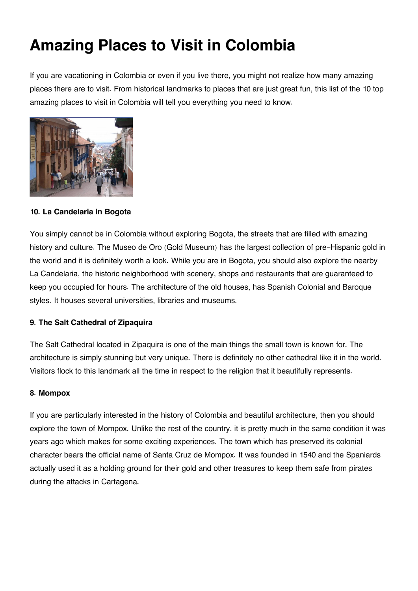# **Amazing Places to Visit in Colombia**

If you are vacationing in Colombia or even if you live there, you might not realize how many amazing places there are to visit. From historical landmarks to places that are just great fun, this list of the 10 top amazing places to visit in Colombia will tell you everything you need to know.



**10. La Candelaria in Bogota**

You simply cannot be in Colombia without exploring Bogota, the streets that are filled with amazing history and culture. The Museo de Oro (Gold Museum) has the largest collection of pre-Hispanic gold in the world and it is definitely worth a look. While you are in Bogota, you should also explore the nearby La Candelaria, the historic neighborhood with scenery, shops and restaurants that are guaranteed to keep you occupied for hours. The architecture of the old houses, has Spanish Colonial and Baroque styles. It houses several universities, libraries and museums.

## **9. The Salt Cathedral of Zipaquira**

The Salt Cathedral located in Zipaquira is one of the main things the small town is known for. The architecture is simply stunning but very unique. There is definitely no other cathedral like it in the world. Visitors flock to this landmark all the time in respect to the religion that it beautifully represents.

### **8. Mompox**

If you are particularly interested in the history of Colombia and beautiful architecture, then you should explore the town of Mompox. Unlike the rest of the country, it is pretty much in the same condition it was years ago which makes for some exciting experiences. The town which has preserved its colonial character bears the official name of Santa Cruz de Mompox. It was founded in 1540 and the Spaniards actually used it as a holding ground for their gold and other treasures to keep them safe from pirates during the attacks in Cartagena.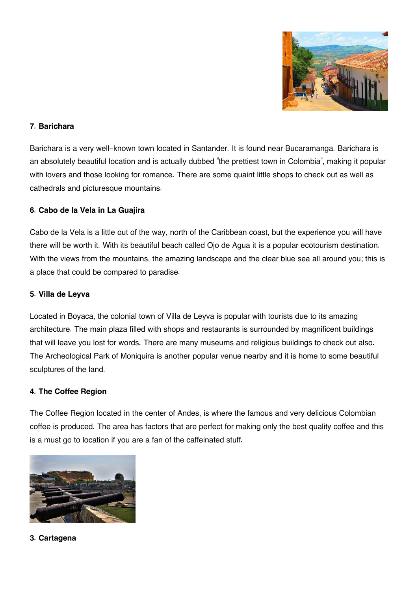

#### **7. Barichara**

Barichara is a very well-known town located in Santander. It is found near Bucaramanga. Barichara is an absolutely beautiful location and is actually dubbed "the prettiest town in Colombia", making it popular with lovers and those looking for romance. There are some quaint little shops to check out as well as cathedrals and picturesque mountains.

#### **6. Cabo de la Vela in La Guajira**

Cabo de la Vela is a little out of the way, north of the Caribbean coast, but the experience you will have there will be worth it. With its beautiful beach called Ojo de Agua it is a popular ecotourism destination. With the views from the mountains, the amazing landscape and the clear blue sea all around you; this is a place that could be compared to paradise.

#### **5. Villa de Leyva**

Located in Boyaca, the colonial town of Villa de Leyva is popular with tourists due to its amazing architecture. The main plaza filled with shops and restaurants is surrounded by magnificent buildings that will leave you lost for words. There are many museums and religious buildings to check out also. The Archeological Park of Moniquira is another popular venue nearby and it is home to some beautiful sculptures of the land.

#### **4. The Coffee Region**

The Coffee Region located in the center of Andes, is where the famous and very delicious Colombian coffee is produced. The area has factors that are perfect for making only the best quality coffee and this is a must go to location if you are a fan of the caffeinated stuff.



**3. Cartagena**